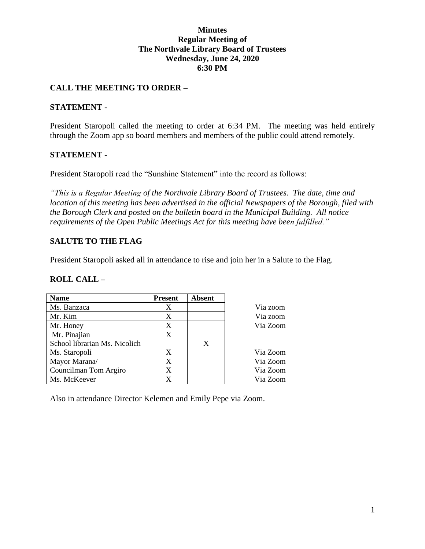### **Minutes Regular Meeting of The Northvale Library Board of Trustees Wednesday, June 24, 2020 6:30 PM**

# **CALL THE MEETING TO ORDER –**

### **STATEMENT -**

President Staropoli called the meeting to order at 6:34 PM. The meeting was held entirely through the Zoom app so board members and members of the public could attend remotely.

### **STATEMENT -**

President Staropoli read the "Sunshine Statement" into the record as follows:

*"This is a Regular Meeting of the Northvale Library Board of Trustees. The date, time and location of this meeting has been advertised in the official Newspapers of the Borough, filed with the Borough Clerk and posted on the bulletin board in the Municipal Building. All notice requirements of the Open Public Meetings Act for this meeting have been fulfilled."* 

# **SALUTE TO THE FLAG**

President Staropoli asked all in attendance to rise and join her in a Salute to the Flag.

#### **ROLL CALL –**

| <b>Name</b>                   | <b>Present</b> | <b>Absent</b> |          |
|-------------------------------|----------------|---------------|----------|
| Ms. Banzaca                   | Χ              |               | Via zoom |
| Mr. Kim                       | X              |               | Via zoom |
| Mr. Honey                     | X              |               | Via Zoom |
| Mr. Pinajian                  | X              |               |          |
| School librarian Ms. Nicolich |                | X             |          |
| Ms. Staropoli                 | X              |               | Via Zoom |
| Mayor Marana/                 | X              |               | Via Zoom |
| Councilman Tom Argiro         | X              |               | Via Zoom |
| Ms. McKeever                  | X              |               | Via Zoom |

Also in attendance Director Kelemen and Emily Pepe via Zoom.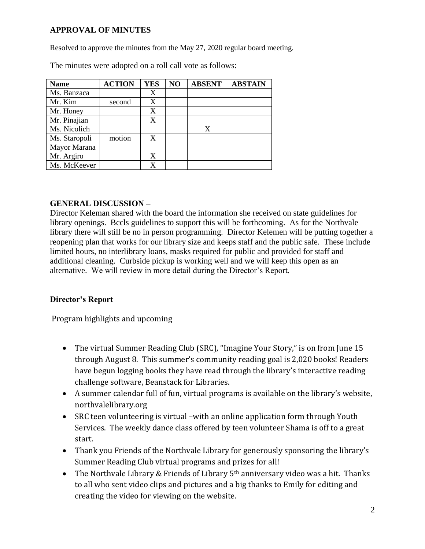# **APPROVAL OF MINUTES**

Resolved to approve the minutes from the May 27, 2020 regular board meeting.

| <b>Name</b>   | <b>ACTION</b> | <b>YES</b> | NO | <b>ABSENT</b> | <b>ABSTAIN</b> |
|---------------|---------------|------------|----|---------------|----------------|
| Ms. Banzaca   |               | X          |    |               |                |
| Mr. Kim       | second        | X          |    |               |                |
| Mr. Honey     |               | X          |    |               |                |
| Mr. Pinajian  |               | X          |    |               |                |
| Ms. Nicolich  |               |            |    | X             |                |
| Ms. Staropoli | motion        | X          |    |               |                |
| Mayor Marana  |               |            |    |               |                |
| Mr. Argiro    |               | X          |    |               |                |
| Ms. McKeever  |               |            |    |               |                |

The minutes were adopted on a roll call vote as follows:

# **GENERAL DISCUSSION –**

Director Keleman shared with the board the information she received on state guidelines for library openings. Bccls guidelines to support this will be forthcoming. As for the Northvale library there will still be no in person programming. Director Kelemen will be putting together a reopening plan that works for our library size and keeps staff and the public safe. These include limited hours, no interlibrary loans, masks required for public and provided for staff and additional cleaning. Curbside pickup is working well and we will keep this open as an alternative. We will review in more detail during the Director's Report.

# **Director's Report**

Program highlights and upcoming

- The virtual Summer Reading Club (SRC), "Imagine Your Story," is on from June 15 through August 8. This summer's community reading goal is 2,020 books! Readers have begun logging books they have read through the library's interactive reading challenge software, Beanstack for Libraries.
- A summer calendar full of fun, virtual programs is available on the library's website, northvalelibrary.org
- SRC teen volunteering is virtual –with an online application form through Youth Services. The weekly dance class offered by teen volunteer Shama is off to a great start.
- Thank you Friends of the Northvale Library for generously sponsoring the library's Summer Reading Club virtual programs and prizes for all!
- The Northvale Library & Friends of Library  $5<sup>th</sup>$  anniversary video was a hit. Thanks to all who sent video clips and pictures and a big thanks to Emily for editing and creating the video for viewing on the website.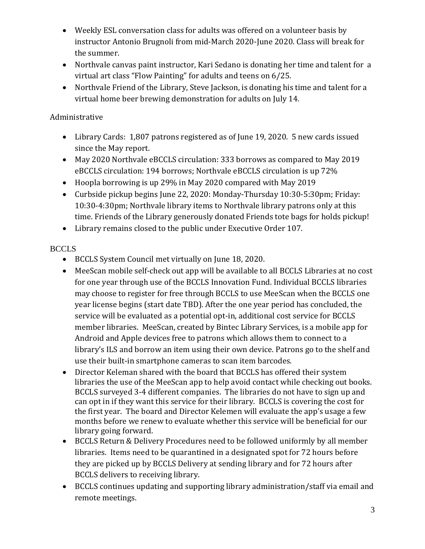- Weekly ESL conversation class for adults was offered on a volunteer basis by instructor Antonio Brugnoli from mid-March 2020-June 2020. Class will break for the summer.
- Northvale canvas paint instructor, Kari Sedano is donating her time and talent for a virtual art class "Flow Painting" for adults and teens on 6/25.
- Northvale Friend of the Library, Steve Jackson, is donating his time and talent for a virtual home beer brewing demonstration for adults on July 14.

# Administrative

- Library Cards: 1,807 patrons registered as of June 19, 2020. 5 new cards issued since the May report.
- May 2020 Northvale eBCCLS circulation: 333 borrows as compared to May 2019 eBCCLS circulation: 194 borrows; Northvale eBCCLS circulation is up 72%
- Hoopla borrowing is up 29% in May 2020 compared with May 2019
- Curbside pickup begins June 22, 2020: Monday-Thursday 10:30-5:30pm; Friday: 10:30-4:30pm; Northvale library items to Northvale library patrons only at this time. Friends of the Library generously donated Friends tote bags for holds pickup!
- Library remains closed to the public under Executive Order 107.

# **BCCLS**

- BCCLS System Council met virtually on June 18, 2020.
- MeeScan mobile self-check out app will be available to all BCCLS Libraries at no cost for one year through use of the BCCLS Innovation Fund. Individual BCCLS libraries may choose to register for free through BCCLS to use MeeScan when the BCCLS one year license begins (start date TBD). After the one year period has concluded, the service will be evaluated as a potential opt-in, additional cost service for BCCLS member libraries. MeeScan, created by Bintec Library Services, is a mobile app for Android and Apple devices free to patrons which allows them to connect to a library's ILS and borrow an item using their own device. Patrons go to the shelf and use their built-in smartphone cameras to scan item barcodes.
- Director Keleman shared with the board that BCCLS has offered their system libraries the use of the MeeScan app to help avoid contact while checking out books. BCCLS surveyed 3-4 different companies. The libraries do not have to sign up and can opt in if they want this service for their library. BCCLS is covering the cost for the first year. The board and Director Kelemen will evaluate the app's usage a few months before we renew to evaluate whether this service will be beneficial for our library going forward.
- BCCLS Return & Delivery Procedures need to be followed uniformly by all member libraries. Items need to be quarantined in a designated spot for 72 hours before they are picked up by BCCLS Delivery at sending library and for 72 hours after BCCLS delivers to receiving library.
- BCCLS continues updating and supporting library administration/staff via email and remote meetings.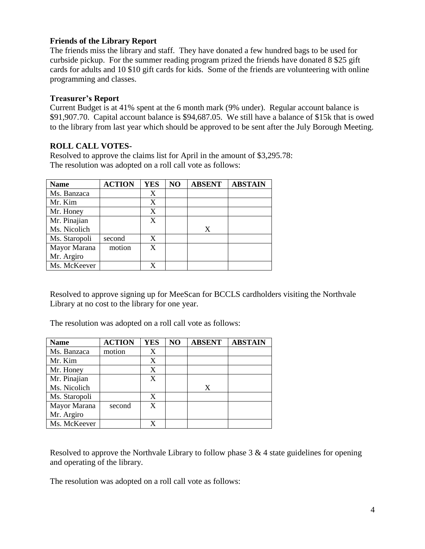### **Friends of the Library Report**

The friends miss the library and staff. They have donated a few hundred bags to be used for curbside pickup. For the summer reading program prized the friends have donated 8 \$25 gift cards for adults and 10 \$10 gift cards for kids. Some of the friends are volunteering with online programming and classes.

#### **Treasurer's Report**

Current Budget is at 41% spent at the 6 month mark (9% under). Regular account balance is \$91,907.70. Capital account balance is \$94,687.05. We still have a balance of \$15k that is owed to the library from last year which should be approved to be sent after the July Borough Meeting.

## **ROLL CALL VOTES-**

Resolved to approve the claims list for April in the amount of \$3,295.78: The resolution was adopted on a roll call vote as follows:

| <b>Name</b>   | <b>ACTION</b> | <b>YES</b> | N <sub>O</sub> | <b>ABSENT</b> | <b>ABSTAIN</b> |
|---------------|---------------|------------|----------------|---------------|----------------|
| Ms. Banzaca   |               | X          |                |               |                |
| Mr. Kim       |               | X          |                |               |                |
| Mr. Honey     |               | X          |                |               |                |
| Mr. Pinajian  |               | X          |                |               |                |
| Ms. Nicolich  |               |            |                | X             |                |
| Ms. Staropoli | second        | X          |                |               |                |
| Mayor Marana  | motion        | X          |                |               |                |
| Mr. Argiro    |               |            |                |               |                |
| Ms. McKeever  |               |            |                |               |                |

Resolved to approve signing up for MeeScan for BCCLS cardholders visiting the Northvale Library at no cost to the library for one year.

The resolution was adopted on a roll call vote as follows:

| <b>Name</b>   | <b>ACTION</b> | <b>YES</b> | NO | <b>ABSENT</b> | <b>ABSTAIN</b> |
|---------------|---------------|------------|----|---------------|----------------|
| Ms. Banzaca   | motion        | X          |    |               |                |
| Mr. Kim       |               | X          |    |               |                |
| Mr. Honey     |               | X          |    |               |                |
| Mr. Pinajian  |               | X          |    |               |                |
| Ms. Nicolich  |               |            |    | X             |                |
| Ms. Staropoli |               | X          |    |               |                |
| Mayor Marana  | second        | X          |    |               |                |
| Mr. Argiro    |               |            |    |               |                |
| Ms. McKeever  |               |            |    |               |                |

Resolved to approve the Northvale Library to follow phase 3 & 4 state guidelines for opening and operating of the library.

The resolution was adopted on a roll call vote as follows: